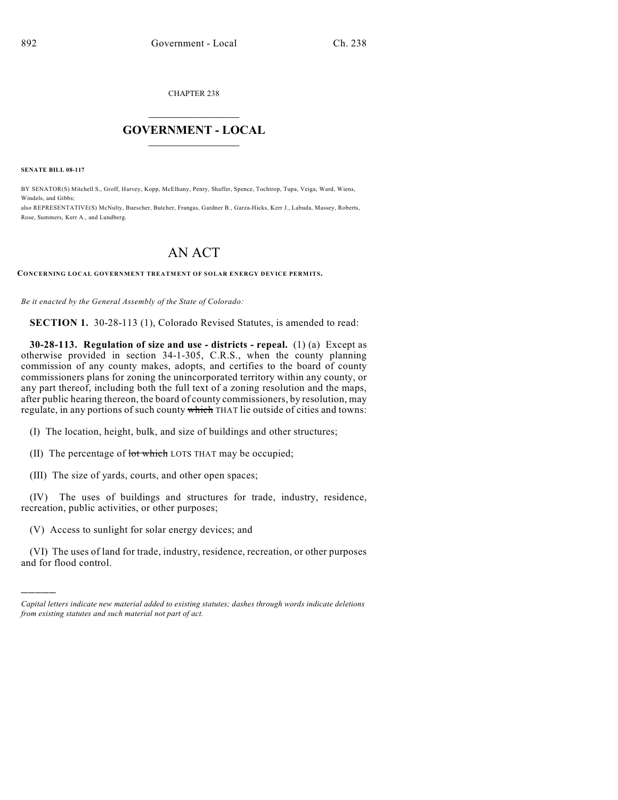CHAPTER 238

## $\overline{\phantom{a}}$  . The set of the set of the set of the set of the set of the set of the set of the set of the set of the set of the set of the set of the set of the set of the set of the set of the set of the set of the set o **GOVERNMENT - LOCAL**  $\_$

**SENATE BILL 08-117**

)))))

BY SENATOR(S) Mitchell S., Groff, Harvey, Kopp, McElhany, Penry, Shaffer, Spence, Tochtrop, Tupa, Veiga, Ward, Wiens, Windels, and Gibbs;

also REPRESENTATIVE(S) McNulty, Buescher, Butcher, Frangas, Gardner B., Garza-Hicks, Kerr J., Labuda, Massey, Roberts, Rose, Summers, Kerr A., and Lundberg.

## AN ACT

**CONCERNING LOCAL GOVERNMENT TREATMENT OF SOLAR ENERGY DEVICE PERMITS.**

*Be it enacted by the General Assembly of the State of Colorado:*

**SECTION 1.** 30-28-113 (1), Colorado Revised Statutes, is amended to read:

**30-28-113. Regulation of size and use - districts - repeal.** (1) (a) Except as otherwise provided in section 34-1-305, C.R.S., when the county planning commission of any county makes, adopts, and certifies to the board of county commissioners plans for zoning the unincorporated territory within any county, or any part thereof, including both the full text of a zoning resolution and the maps, after public hearing thereon, the board of county commissioners, by resolution, may regulate, in any portions of such county which THAT lie outside of cities and towns:

(I) The location, height, bulk, and size of buildings and other structures;

(II) The percentage of lot which LOTS THAT may be occupied;

(III) The size of yards, courts, and other open spaces;

(IV) The uses of buildings and structures for trade, industry, residence, recreation, public activities, or other purposes;

(V) Access to sunlight for solar energy devices; and

(VI) The uses of land for trade, industry, residence, recreation, or other purposes and for flood control.

*Capital letters indicate new material added to existing statutes; dashes through words indicate deletions from existing statutes and such material not part of act.*